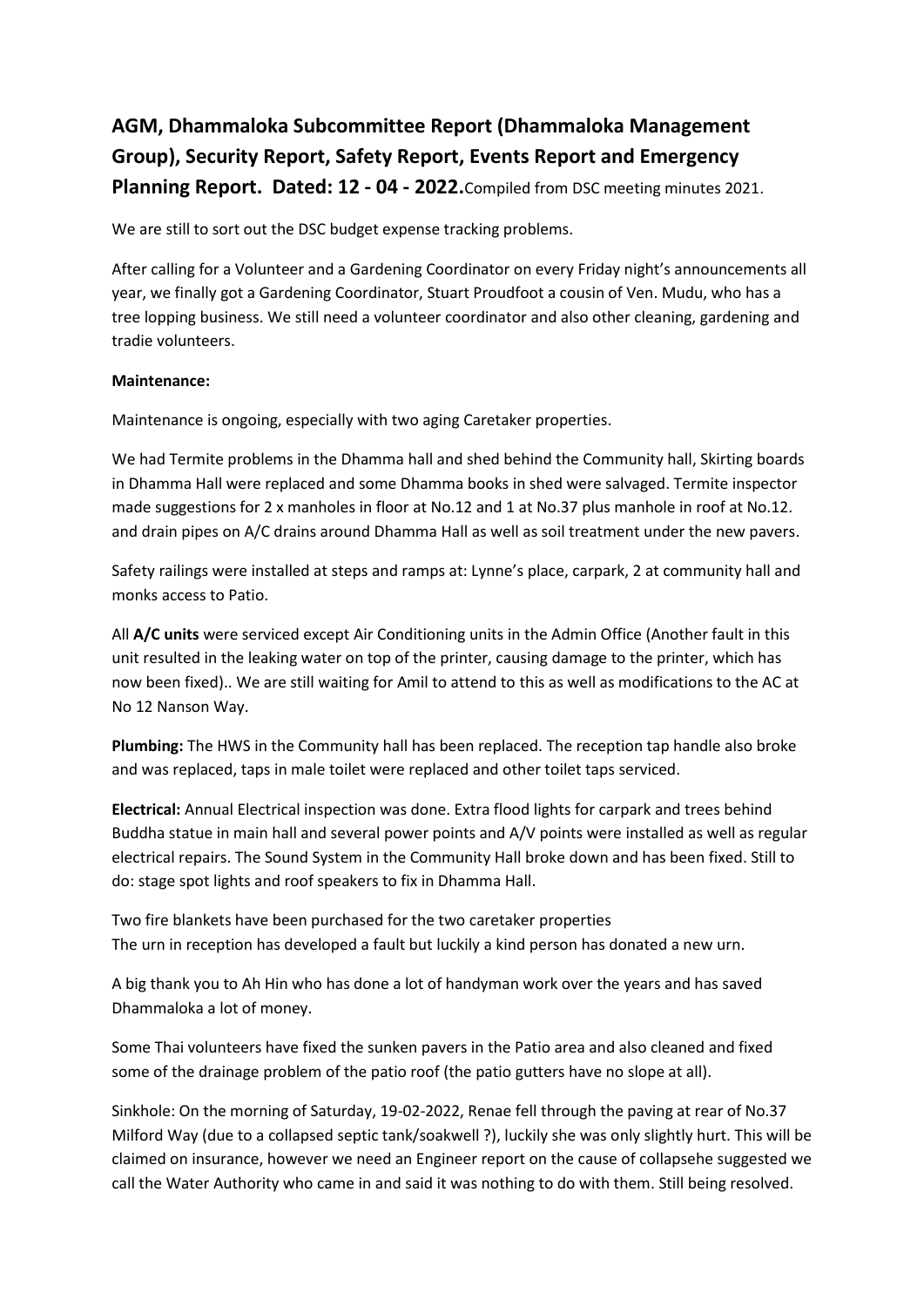# **AGM, Dhammaloka Subcommittee Report (Dhammaloka Management Group), Security Report, Safety Report, Events Report and Emergency Planning Report. Dated: 12 - 04 - 2022.**Compiled from DSC meeting minutes 2021.

We are still to sort out the DSC budget expense tracking problems.

After calling for a Volunteer and a Gardening Coordinator on every Friday night's announcements all year, we finally got a Gardening Coordinator, Stuart Proudfoot a cousin of Ven. Mudu, who has a tree lopping business. We still need a volunteer coordinator and also other cleaning, gardening and tradie volunteers.

### **Maintenance:**

Maintenance is ongoing, especially with two aging Caretaker properties.

We had Termite problems in the Dhamma hall and shed behind the Community hall, Skirting boards in Dhamma Hall were replaced and some Dhamma books in shed were salvaged. Termite inspector made suggestions for 2 x manholes in floor at No.12 and 1 at No.37 plus manhole in roof at No.12. and drain pipes on A/C drains around Dhamma Hall as well as soil treatment under the new pavers.

Safety railings were installed at steps and ramps at: Lynne's place, carpark, 2 at community hall and monks access to Patio.

All **A/C units** were serviced except Air Conditioning units in the Admin Office (Another fault in this unit resulted in the leaking water on top of the printer, causing damage to the printer, which has now been fixed).. We are still waiting for Amil to attend to this as well as modifications to the AC at No 12 Nanson Way.

**Plumbing:** The HWS in the Community hall has been replaced. The reception tap handle also broke and was replaced, taps in male toilet were replaced and other toilet taps serviced.

**Electrical:** Annual Electrical inspection was done. Extra flood lights for carpark and trees behind Buddha statue in main hall and several power points and A/V points were installed as well as regular electrical repairs. The Sound System in the Community Hall broke down and has been fixed. Still to do: stage spot lights and roof speakers to fix in Dhamma Hall.

Two fire blankets have been purchased for the two caretaker properties The urn in reception has developed a fault but luckily a kind person has donated a new urn.

A big thank you to Ah Hin who has done a lot of handyman work over the years and has saved Dhammaloka a lot of money.

Some Thai volunteers have fixed the sunken pavers in the Patio area and also cleaned and fixed some of the drainage problem of the patio roof (the patio gutters have no slope at all).

Sinkhole: On the morning of Saturday, 19-02-2022, Renae fell through the paving at rear of No.37 Milford Way (due to a collapsed septic tank/soakwell ?), luckily she was only slightly hurt. This will be claimed on insurance, however we need an Engineer report on the cause of collapsehe suggested we call the Water Authority who came in and said it was nothing to do with them. Still being resolved.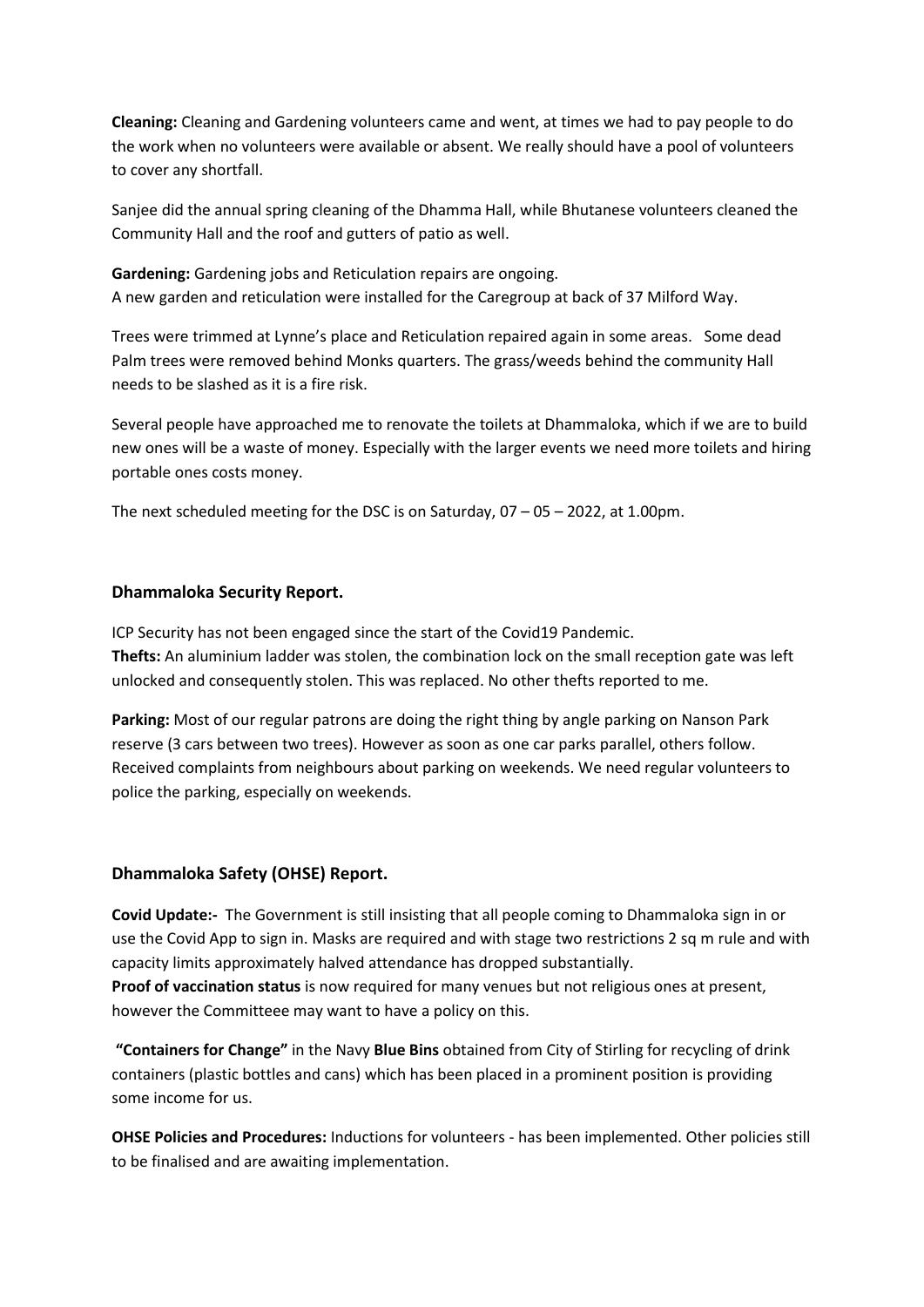**Cleaning:** Cleaning and Gardening volunteers came and went, at times we had to pay people to do the work when no volunteers were available or absent. We really should have a pool of volunteers to cover any shortfall.

Sanjee did the annual spring cleaning of the Dhamma Hall, while Bhutanese volunteers cleaned the Community Hall and the roof and gutters of patio as well.

**Gardening:** Gardening jobs and Reticulation repairs are ongoing. A new garden and reticulation were installed for the Caregroup at back of 37 Milford Way.

Trees were trimmed at Lynne's place and Reticulation repaired again in some areas. Some dead Palm trees were removed behind Monks quarters. The grass/weeds behind the community Hall needs to be slashed as it is a fire risk.

Several people have approached me to renovate the toilets at Dhammaloka, which if we are to build new ones will be a waste of money. Especially with the larger events we need more toilets and hiring portable ones costs money.

The next scheduled meeting for the DSC is on Saturday,  $07 - 05 - 2022$ , at 1.00pm.

## **Dhammaloka Security Report.**

ICP Security has not been engaged since the start of the Covid19 Pandemic. **Thefts:** An aluminium ladder was stolen, the combination lock on the small reception gate was left unlocked and consequently stolen. This was replaced. No other thefts reported to me.

**Parking:** Most of our regular patrons are doing the right thing by angle parking on Nanson Park reserve (3 cars between two trees). However as soon as one car parks parallel, others follow. Received complaints from neighbours about parking on weekends. We need regular volunteers to police the parking, especially on weekends.

### **Dhammaloka Safety (OHSE) Report.**

**Covid Update:-** The Government is still insisting that all people coming to Dhammaloka sign in or use the Covid App to sign in. Masks are required and with stage two restrictions 2 sq m rule and with capacity limits approximately halved attendance has dropped substantially. **Proof of vaccination status** is now required for many venues but not religious ones at present, however the Committeee may want to have a policy on this.

**"Containers for Change"** in the Navy **Blue Bins** obtained from City of Stirling for recycling of drink containers (plastic bottles and cans) which has been placed in a prominent position is providing some income for us.

**OHSE Policies and Procedures:** Inductions for volunteers - has been implemented. Other policies still to be finalised and are awaiting implementation.